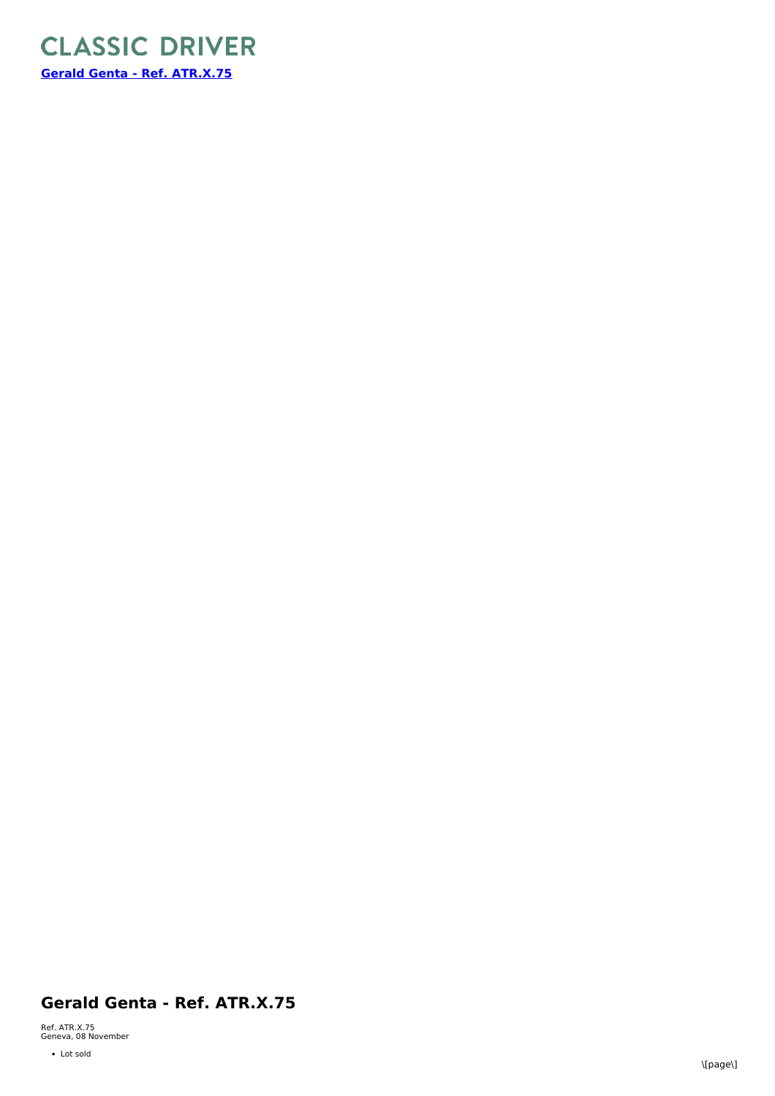

## **Gerald Genta - Ref. ATR.X.75**

Ref. ATR.X.75 Geneva, 08 November

• Lot sold